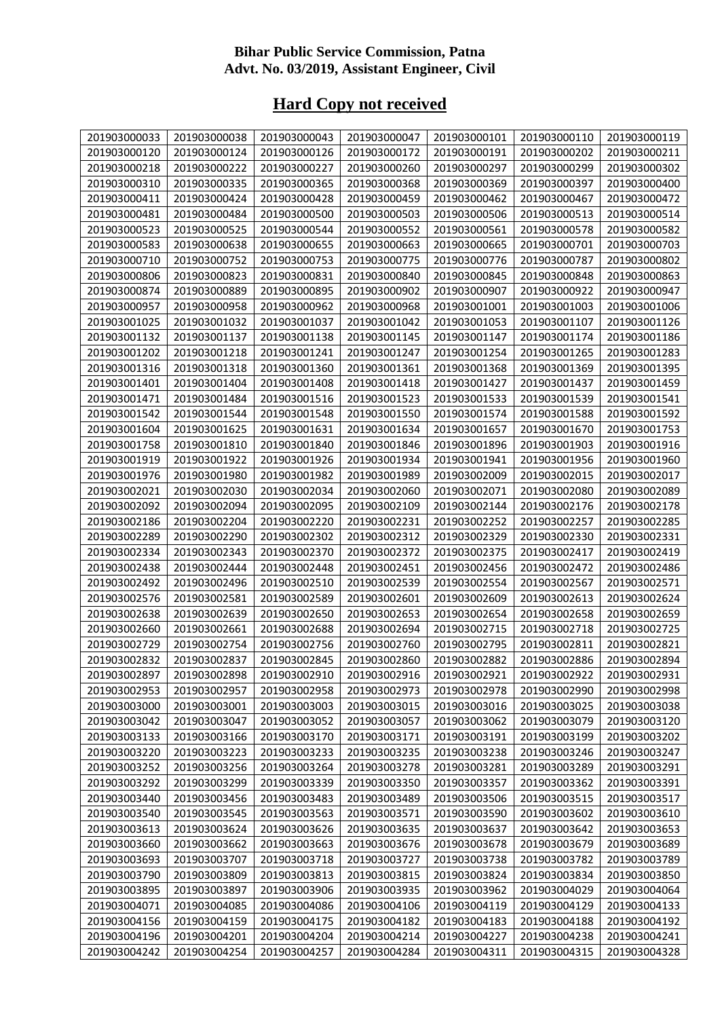## **Bihar Public Service Commission, Patna Advt. No. 03/2019, Assistant Engineer, Civil**

## **Hard Copy not received**

| 201903000033 | 201903000038 | 201903000043 | 201903000047 | 201903000101 | 201903000110 | 201903000119 |
|--------------|--------------|--------------|--------------|--------------|--------------|--------------|
| 201903000120 | 201903000124 | 201903000126 | 201903000172 | 201903000191 | 201903000202 | 201903000211 |
| 201903000218 | 201903000222 | 201903000227 | 201903000260 | 201903000297 | 201903000299 | 201903000302 |
| 201903000310 | 201903000335 | 201903000365 | 201903000368 | 201903000369 | 201903000397 | 201903000400 |
| 201903000411 | 201903000424 | 201903000428 | 201903000459 | 201903000462 | 201903000467 | 201903000472 |
| 201903000481 | 201903000484 | 201903000500 | 201903000503 | 201903000506 | 201903000513 | 201903000514 |
| 201903000523 | 201903000525 | 201903000544 | 201903000552 | 201903000561 | 201903000578 | 201903000582 |
| 201903000583 | 201903000638 | 201903000655 | 201903000663 | 201903000665 | 201903000701 | 201903000703 |
| 201903000710 | 201903000752 | 201903000753 | 201903000775 | 201903000776 | 201903000787 | 201903000802 |
| 201903000806 | 201903000823 | 201903000831 | 201903000840 | 201903000845 | 201903000848 | 201903000863 |
| 201903000874 | 201903000889 | 201903000895 | 201903000902 | 201903000907 | 201903000922 | 201903000947 |
| 201903000957 | 201903000958 | 201903000962 | 201903000968 | 201903001001 | 201903001003 | 201903001006 |
| 201903001025 | 201903001032 | 201903001037 | 201903001042 | 201903001053 | 201903001107 | 201903001126 |
| 201903001132 | 201903001137 | 201903001138 | 201903001145 | 201903001147 | 201903001174 | 201903001186 |
| 201903001202 | 201903001218 | 201903001241 | 201903001247 | 201903001254 | 201903001265 | 201903001283 |
| 201903001316 | 201903001318 | 201903001360 | 201903001361 | 201903001368 | 201903001369 | 201903001395 |
| 201903001401 | 201903001404 | 201903001408 | 201903001418 | 201903001427 | 201903001437 | 201903001459 |
| 201903001471 | 201903001484 | 201903001516 | 201903001523 | 201903001533 | 201903001539 | 201903001541 |
| 201903001542 | 201903001544 | 201903001548 | 201903001550 | 201903001574 | 201903001588 | 201903001592 |
| 201903001604 | 201903001625 | 201903001631 | 201903001634 | 201903001657 | 201903001670 | 201903001753 |
| 201903001758 | 201903001810 | 201903001840 | 201903001846 | 201903001896 | 201903001903 | 201903001916 |
| 201903001919 | 201903001922 | 201903001926 | 201903001934 | 201903001941 | 201903001956 | 201903001960 |
| 201903001976 | 201903001980 | 201903001982 | 201903001989 | 201903002009 | 201903002015 | 201903002017 |
| 201903002021 | 201903002030 | 201903002034 | 201903002060 | 201903002071 | 201903002080 | 201903002089 |
| 201903002092 | 201903002094 | 201903002095 | 201903002109 | 201903002144 | 201903002176 | 201903002178 |
| 201903002186 | 201903002204 | 201903002220 | 201903002231 | 201903002252 | 201903002257 | 201903002285 |
| 201903002289 | 201903002290 | 201903002302 | 201903002312 | 201903002329 | 201903002330 | 201903002331 |
| 201903002334 | 201903002343 | 201903002370 | 201903002372 | 201903002375 | 201903002417 | 201903002419 |
| 201903002438 | 201903002444 | 201903002448 | 201903002451 | 201903002456 | 201903002472 | 201903002486 |
| 201903002492 | 201903002496 | 201903002510 | 201903002539 | 201903002554 | 201903002567 | 201903002571 |
| 201903002576 | 201903002581 | 201903002589 | 201903002601 | 201903002609 | 201903002613 | 201903002624 |
| 201903002638 | 201903002639 | 201903002650 | 201903002653 | 201903002654 | 201903002658 | 201903002659 |
| 201903002660 | 201903002661 | 201903002688 | 201903002694 | 201903002715 | 201903002718 | 201903002725 |
| 201903002729 | 201903002754 | 201903002756 | 201903002760 | 201903002795 | 201903002811 | 201903002821 |
| 201903002832 | 201903002837 | 201903002845 | 201903002860 | 201903002882 | 201903002886 | 201903002894 |
| 201903002897 | 201903002898 | 201903002910 | 201903002916 | 201903002921 | 201903002922 | 201903002931 |
| 201903002953 | 201903002957 | 201903002958 | 201903002973 | 201903002978 | 201903002990 | 201903002998 |
| 201903003000 | 201903003001 | 201903003003 | 201903003015 | 201903003016 | 201903003025 | 201903003038 |
| 201903003042 | 201903003047 | 201903003052 | 201903003057 | 201903003062 | 201903003079 | 201903003120 |
| 201903003133 | 201903003166 | 201903003170 | 201903003171 | 201903003191 | 201903003199 | 201903003202 |
| 201903003220 | 201903003223 | 201903003233 | 201903003235 | 201903003238 | 201903003246 | 201903003247 |
| 201903003252 | 201903003256 | 201903003264 | 201903003278 | 201903003281 | 201903003289 | 201903003291 |
| 201903003292 | 201903003299 | 201903003339 | 201903003350 | 201903003357 | 201903003362 | 201903003391 |
| 201903003440 | 201903003456 | 201903003483 | 201903003489 | 201903003506 | 201903003515 | 201903003517 |
| 201903003540 | 201903003545 | 201903003563 | 201903003571 | 201903003590 | 201903003602 | 201903003610 |
| 201903003613 | 201903003624 | 201903003626 | 201903003635 | 201903003637 | 201903003642 | 201903003653 |
| 201903003660 | 201903003662 | 201903003663 | 201903003676 | 201903003678 | 201903003679 | 201903003689 |
| 201903003693 | 201903003707 | 201903003718 | 201903003727 | 201903003738 | 201903003782 | 201903003789 |
| 201903003790 | 201903003809 | 201903003813 | 201903003815 | 201903003824 | 201903003834 | 201903003850 |
| 201903003895 | 201903003897 | 201903003906 | 201903003935 | 201903003962 | 201903004029 | 201903004064 |
| 201903004071 | 201903004085 | 201903004086 | 201903004106 | 201903004119 | 201903004129 | 201903004133 |
| 201903004156 | 201903004159 | 201903004175 | 201903004182 | 201903004183 | 201903004188 | 201903004192 |
| 201903004196 | 201903004201 | 201903004204 | 201903004214 | 201903004227 | 201903004238 | 201903004241 |
| 201903004242 | 201903004254 | 201903004257 | 201903004284 | 201903004311 | 201903004315 | 201903004328 |
|              |              |              |              |              |              |              |